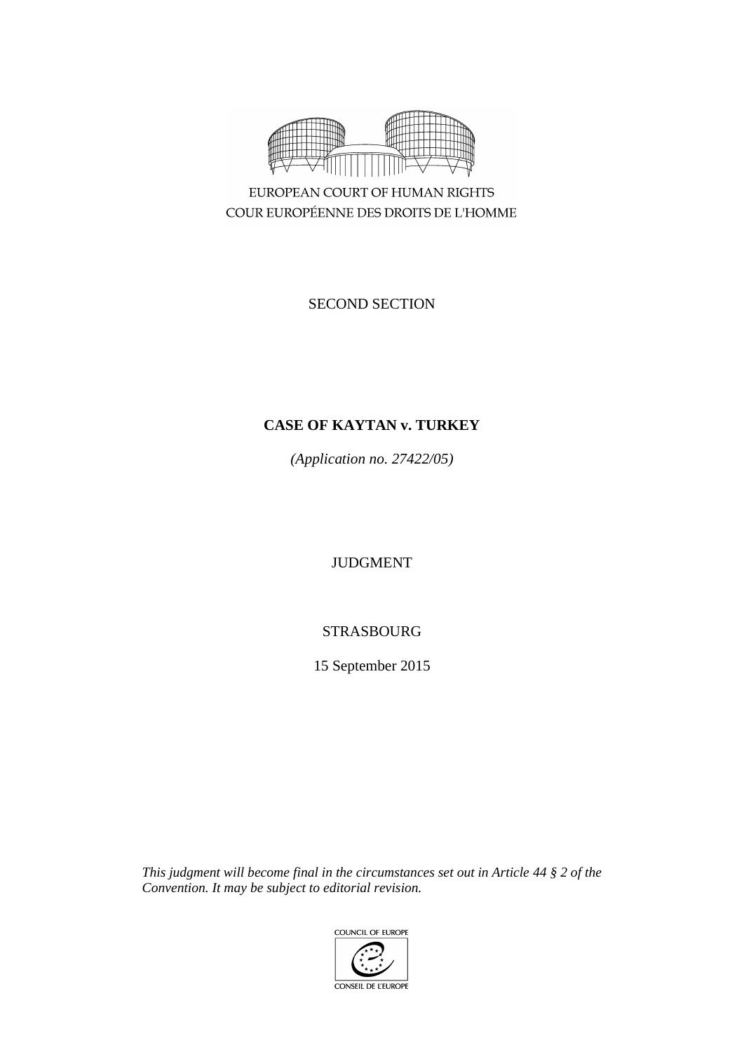

EUROPEAN COURT OF HUMAN RIGHTS COUR EUROPÉENNE DES DROITS DE L'HOMME

SECOND SECTION

# **CASE OF KAYTAN v. TURKEY**

*(Application no. 27422/05)*

JUDGMENT

STRASBOURG

15 September 2015

*This judgment will become final in the circumstances set out in Article 44 § 2 of the Convention. It may be subject to editorial revision.*

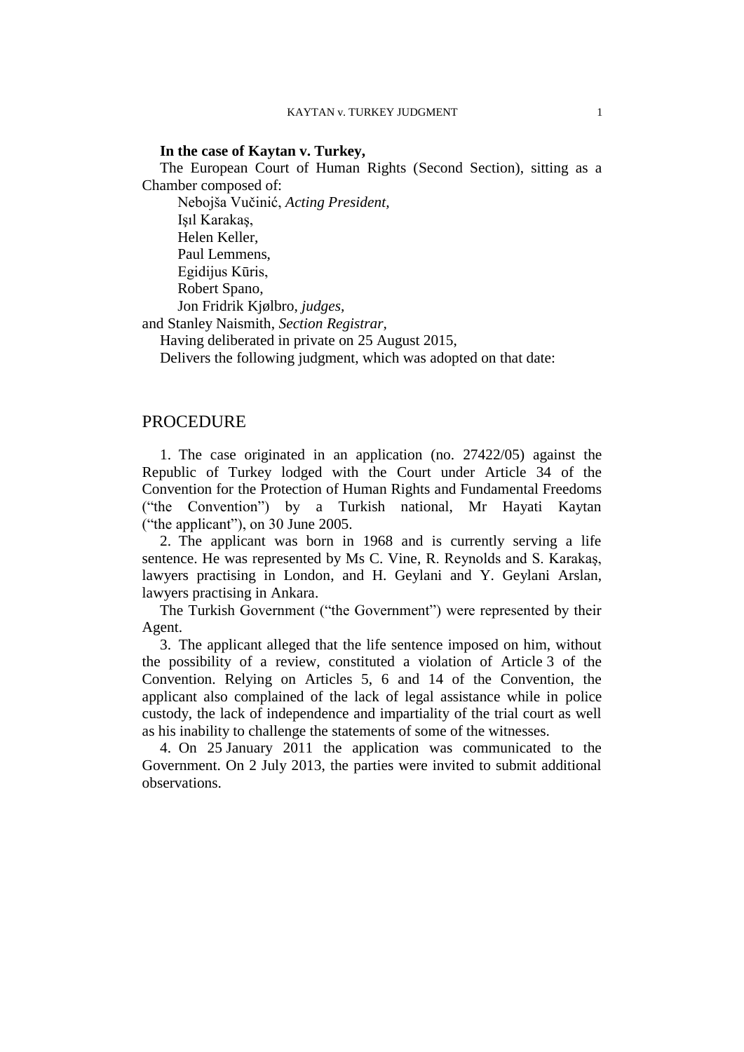# **In the case of Kaytan v. Turkey,**

The European Court of Human Rights (Second Section), sitting as a Chamber composed of:

Nebojša Vučinić, *Acting President,* Işıl Karakaş, Helen Keller, Paul Lemmens, Egidijus Kūris, Robert Spano, Jon Fridrik Kjølbro, *judges,*

and Stanley Naismith, *Section Registrar,*

Having deliberated in private on 25 August 2015,

Delivers the following judgment, which was adopted on that date:

# PROCEDURE

1. The case originated in an application (no. 27422/05) against the Republic of Turkey lodged with the Court under Article 34 of the Convention for the Protection of Human Rights and Fundamental Freedoms ("the Convention") by a Turkish national, Mr Hayati Kaytan ("the applicant"), on 30 June 2005.

2. The applicant was born in 1968 and is currently serving a life sentence. He was represented by Ms C. Vine, R. Reynolds and S. Karakaş, lawyers practising in London, and H. Geylani and Y. Geylani Arslan, lawyers practising in Ankara.

The Turkish Government ("the Government") were represented by their Agent.

3. The applicant alleged that the life sentence imposed on him, without the possibility of a review, constituted a violation of Article 3 of the Convention. Relying on Articles 5, 6 and 14 of the Convention, the applicant also complained of the lack of legal assistance while in police custody, the lack of independence and impartiality of the trial court as well as his inability to challenge the statements of some of the witnesses.

4. On 25 January 2011 the application was communicated to the Government. On 2 July 2013, the parties were invited to submit additional observations.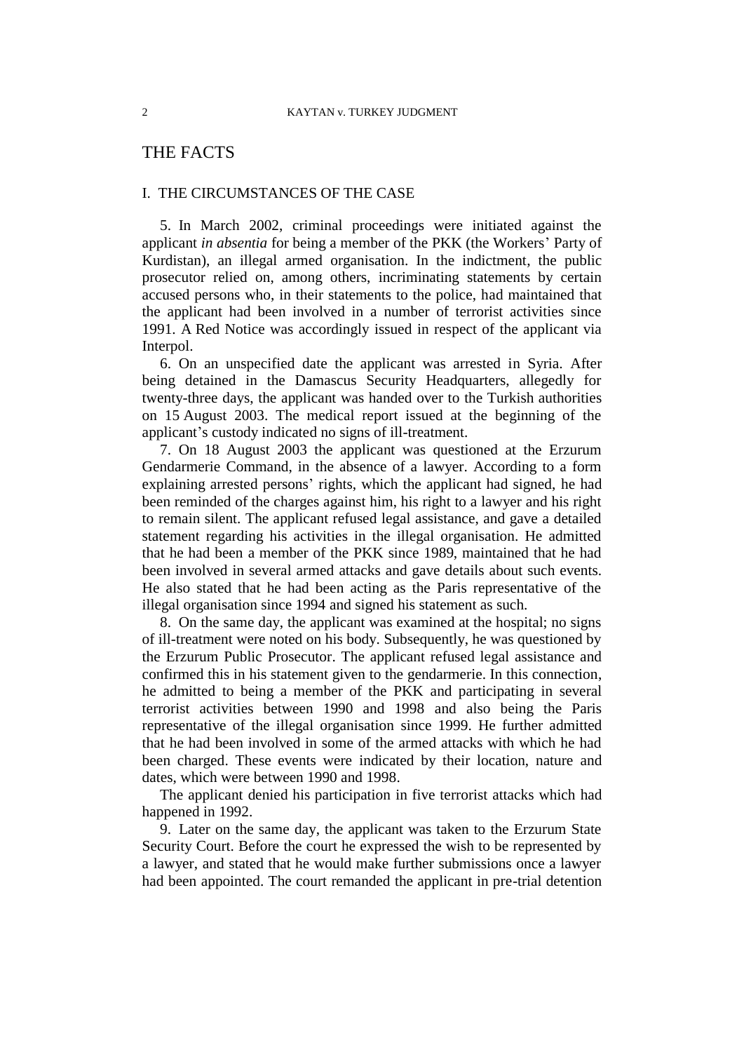# THE FACTS

### I. THE CIRCUMSTANCES OF THE CASE

5. In March 2002, criminal proceedings were initiated against the applicant *in absentia* for being a member of the PKK (the Workers' Party of Kurdistan), an illegal armed organisation. In the indictment, the public prosecutor relied on, among others, incriminating statements by certain accused persons who, in their statements to the police, had maintained that the applicant had been involved in a number of terrorist activities since 1991. A Red Notice was accordingly issued in respect of the applicant via Interpol.

6. On an unspecified date the applicant was arrested in Syria. After being detained in the Damascus Security Headquarters, allegedly for twenty-three days, the applicant was handed over to the Turkish authorities on 15 August 2003. The medical report issued at the beginning of the applicant's custody indicated no signs of ill-treatment.

<span id="page-3-0"></span>7. On 18 August 2003 the applicant was questioned at the Erzurum Gendarmerie Command, in the absence of a lawyer. According to a form explaining arrested persons' rights, which the applicant had signed, he had been reminded of the charges against him, his right to a lawyer and his right to remain silent. The applicant refused legal assistance, and gave a detailed statement regarding his activities in the illegal organisation. He admitted that he had been a member of the PKK since 1989, maintained that he had been involved in several armed attacks and gave details about such events. He also stated that he had been acting as the Paris representative of the illegal organisation since 1994 and signed his statement as such.

<span id="page-3-1"></span>8. On the same day, the applicant was examined at the hospital; no signs of ill-treatment were noted on his body. Subsequently, he was questioned by the Erzurum Public Prosecutor. The applicant refused legal assistance and confirmed this in his statement given to the gendarmerie. In this connection, he admitted to being a member of the PKK and participating in several terrorist activities between 1990 and 1998 and also being the Paris representative of the illegal organisation since 1999. He further admitted that he had been involved in some of the armed attacks with which he had been charged. These events were indicated by their location, nature and dates, which were between 1990 and 1998.

The applicant denied his participation in five terrorist attacks which had happened in 1992.

9. Later on the same day, the applicant was taken to the Erzurum State Security Court. Before the court he expressed the wish to be represented by a lawyer, and stated that he would make further submissions once a lawyer had been appointed. The court remanded the applicant in pre-trial detention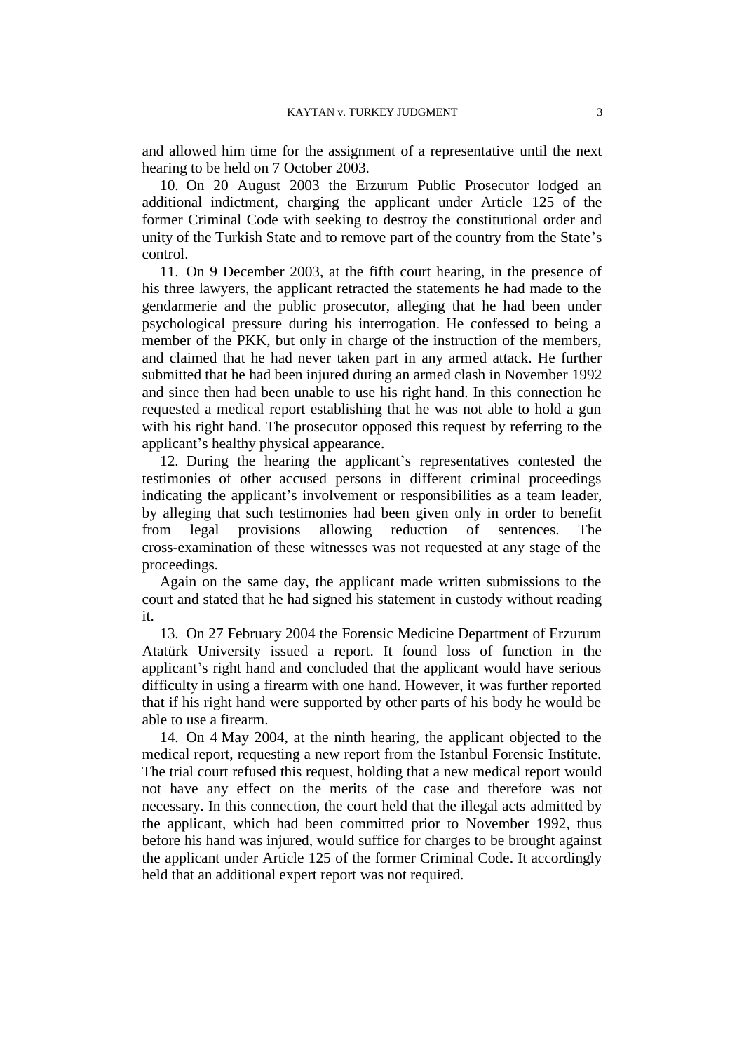and allowed him time for the assignment of a representative until the next hearing to be held on 7 October 2003.

10. On 20 August 2003 the Erzurum Public Prosecutor lodged an additional indictment, charging the applicant under Article 125 of the former Criminal Code with seeking to destroy the constitutional order and unity of the Turkish State and to remove part of the country from the State's control.

11. On 9 December 2003, at the fifth court hearing, in the presence of his three lawyers, the applicant retracted the statements he had made to the gendarmerie and the public prosecutor, alleging that he had been under psychological pressure during his interrogation. He confessed to being a member of the PKK, but only in charge of the instruction of the members, and claimed that he had never taken part in any armed attack. He further submitted that he had been injured during an armed clash in November 1992 and since then had been unable to use his right hand. In this connection he requested a medical report establishing that he was not able to hold a gun with his right hand. The prosecutor opposed this request by referring to the applicant's healthy physical appearance.

12. During the hearing the applicant's representatives contested the testimonies of other accused persons in different criminal proceedings indicating the applicant's involvement or responsibilities as a team leader, by alleging that such testimonies had been given only in order to benefit from legal provisions allowing reduction of sentences. The cross-examination of these witnesses was not requested at any stage of the proceedings.

Again on the same day, the applicant made written submissions to the court and stated that he had signed his statement in custody without reading it.

13. On 27 February 2004 the Forensic Medicine Department of Erzurum Atatürk University issued a report. It found loss of function in the applicant's right hand and concluded that the applicant would have serious difficulty in using a firearm with one hand. However, it was further reported that if his right hand were supported by other parts of his body he would be able to use a firearm.

14. On 4 May 2004, at the ninth hearing, the applicant objected to the medical report, requesting a new report from the Istanbul Forensic Institute. The trial court refused this request, holding that a new medical report would not have any effect on the merits of the case and therefore was not necessary. In this connection, the court held that the illegal acts admitted by the applicant, which had been committed prior to November 1992, thus before his hand was injured, would suffice for charges to be brought against the applicant under Article 125 of the former Criminal Code. It accordingly held that an additional expert report was not required.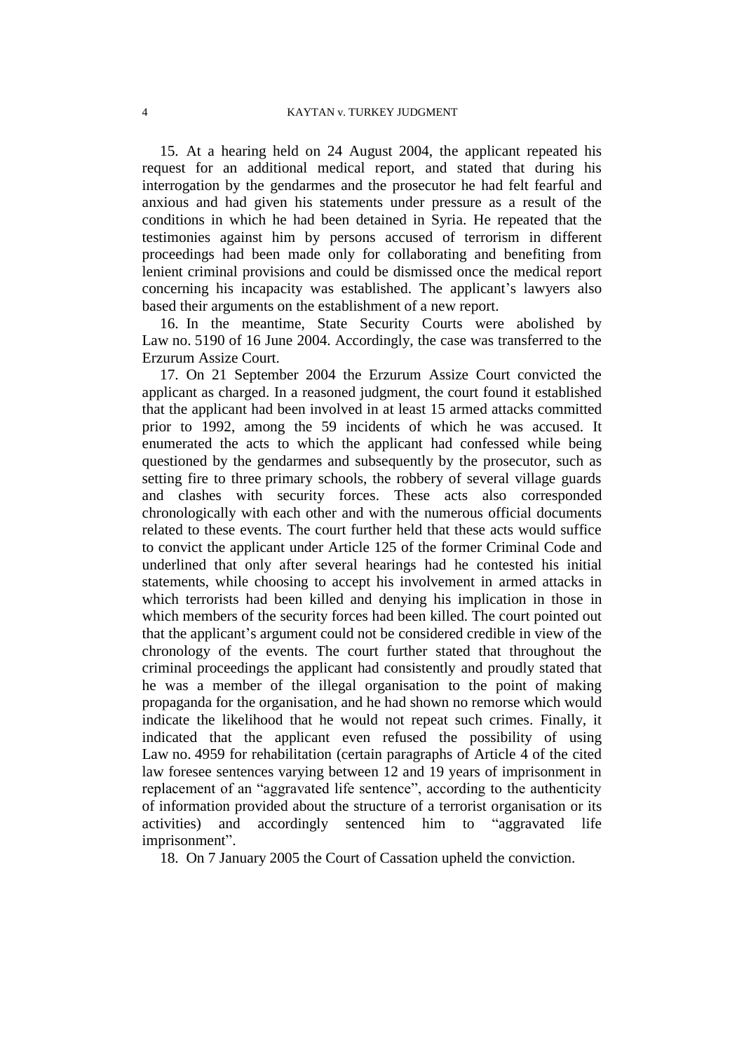15. At a hearing held on 24 August 2004, the applicant repeated his request for an additional medical report, and stated that during his interrogation by the gendarmes and the prosecutor he had felt fearful and anxious and had given his statements under pressure as a result of the conditions in which he had been detained in Syria. He repeated that the testimonies against him by persons accused of terrorism in different proceedings had been made only for collaborating and benefiting from lenient criminal provisions and could be dismissed once the medical report concerning his incapacity was established. The applicant's lawyers also based their arguments on the establishment of a new report.

16. In the meantime, State Security Courts were abolished by Law no. 5190 of 16 June 2004. Accordingly, the case was transferred to the Erzurum Assize Court.

17. On 21 September 2004 the Erzurum Assize Court convicted the applicant as charged. In a reasoned judgment, the court found it established that the applicant had been involved in at least 15 armed attacks committed prior to 1992, among the 59 incidents of which he was accused. It enumerated the acts to which the applicant had confessed while being questioned by the gendarmes and subsequently by the prosecutor, such as setting fire to three primary schools, the robbery of several village guards and clashes with security forces. These acts also corresponded chronologically with each other and with the numerous official documents related to these events. The court further held that these acts would suffice to convict the applicant under Article 125 of the former Criminal Code and underlined that only after several hearings had he contested his initial statements, while choosing to accept his involvement in armed attacks in which terrorists had been killed and denying his implication in those in which members of the security forces had been killed. The court pointed out that the applicant's argument could not be considered credible in view of the chronology of the events. The court further stated that throughout the criminal proceedings the applicant had consistently and proudly stated that he was a member of the illegal organisation to the point of making propaganda for the organisation, and he had shown no remorse which would indicate the likelihood that he would not repeat such crimes. Finally, it indicated that the applicant even refused the possibility of using Law no. 4959 for rehabilitation (certain paragraphs of Article 4 of the cited law foresee sentences varying between 12 and 19 years of imprisonment in replacement of an "aggravated life sentence", according to the authenticity of information provided about the structure of a terrorist organisation or its activities) and accordingly sentenced him to "aggravated life imprisonment".

18. On 7 January 2005 the Court of Cassation upheld the conviction.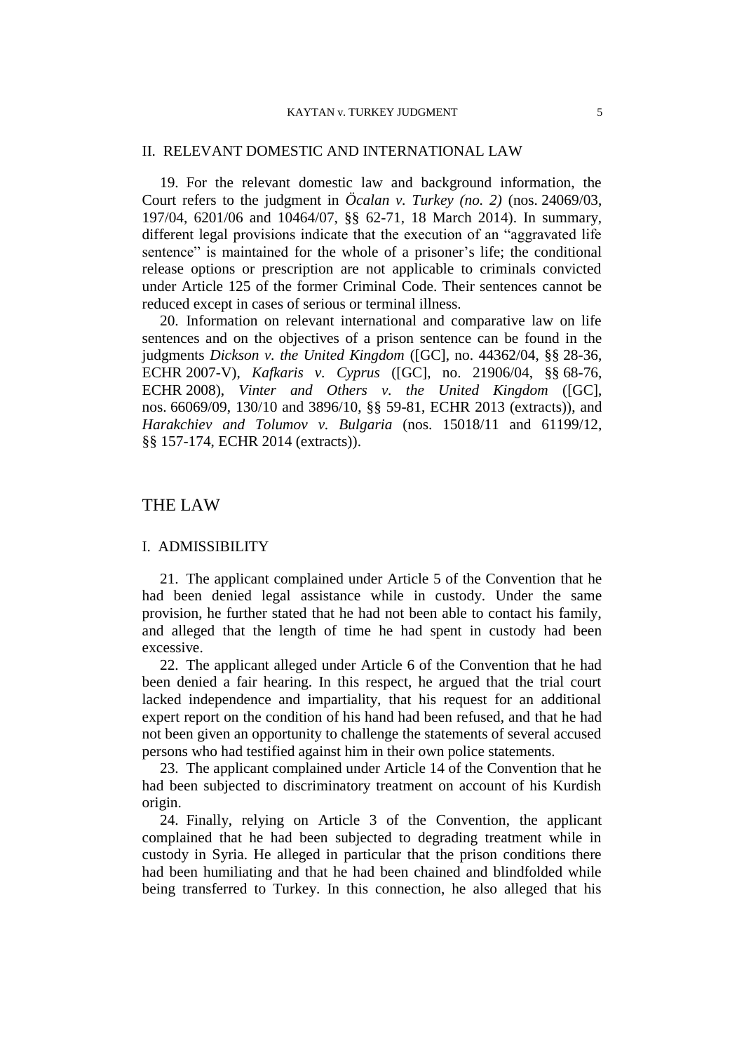#### KAYTAN v. TURKEY JUDGMENT 5

### II. RELEVANT DOMESTIC AND INTERNATIONAL LAW

<span id="page-6-0"></span>19. For the relevant domestic law and background information, the Court refers to the judgment in *Öcalan v. Turkey (no. 2)* (nos. 24069/03, 197/04, 6201/06 and 10464/07, §§ 62-71, 18 March 2014). In summary, different legal provisions indicate that the execution of an "aggravated life sentence" is maintained for the whole of a prisoner's life; the conditional release options or prescription are not applicable to criminals convicted under Article 125 of the former Criminal Code. Their sentences cannot be reduced except in cases of serious or terminal illness.

20. Information on relevant international and comparative law on life sentences and on the objectives of a prison sentence can be found in the judgments *Dickson v. the United Kingdom* ([GC], no. 44362/04, §§ 28-36, ECHR 2007-V), *Kafkaris v. Cyprus* ([GC], no. 21906/04, §§ 68-76, ECHR 2008), *Vinter and Others v. the United Kingdom* ([GC], nos. 66069/09, 130/10 and 3896/10, §§ 59-81, ECHR 2013 (extracts)), and *Harakchiev and Tolumov v. Bulgaria* (nos. 15018/11 and 61199/12, §§ 157-174, ECHR 2014 (extracts)).

# THE LAW

### I. ADMISSIBILITY

21. The applicant complained under Article 5 of the Convention that he had been denied legal assistance while in custody. Under the same provision, he further stated that he had not been able to contact his family, and alleged that the length of time he had spent in custody had been excessive.

22. The applicant alleged under Article 6 of the Convention that he had been denied a fair hearing. In this respect, he argued that the trial court lacked independence and impartiality, that his request for an additional expert report on the condition of his hand had been refused, and that he had not been given an opportunity to challenge the statements of several accused persons who had testified against him in their own police statements.

23. The applicant complained under Article 14 of the Convention that he had been subjected to discriminatory treatment on account of his Kurdish origin.

24. Finally, relying on Article 3 of the Convention, the applicant complained that he had been subjected to degrading treatment while in custody in Syria. He alleged in particular that the prison conditions there had been humiliating and that he had been chained and blindfolded while being transferred to Turkey. In this connection, he also alleged that his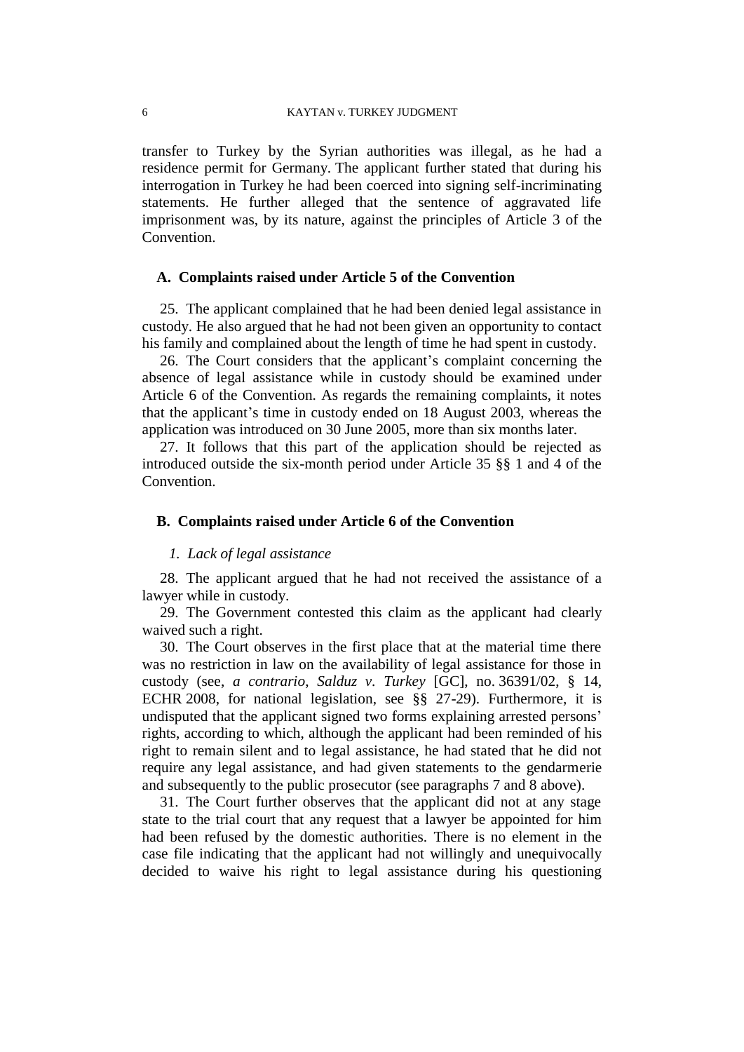transfer to Turkey by the Syrian authorities was illegal, as he had a residence permit for Germany. The applicant further stated that during his interrogation in Turkey he had been coerced into signing self-incriminating statements. He further alleged that the sentence of aggravated life imprisonment was, by its nature, against the principles of Article 3 of the Convention.

#### **A. Complaints raised under Article 5 of the Convention**

25. The applicant complained that he had been denied legal assistance in custody. He also argued that he had not been given an opportunity to contact his family and complained about the length of time he had spent in custody.

26. The Court considers that the applicant's complaint concerning the absence of legal assistance while in custody should be examined under Article 6 of the Convention. As regards the remaining complaints, it notes that the applicant's time in custody ended on 18 August 2003, whereas the application was introduced on 30 June 2005, more than six months later.

27. It follows that this part of the application should be rejected as introduced outside the six-month period under Article 35 §§ 1 and 4 of the Convention.

### **B. Complaints raised under Article 6 of the Convention**

### *1. Lack of legal assistance*

28. The applicant argued that he had not received the assistance of a lawyer while in custody.

29. The Government contested this claim as the applicant had clearly waived such a right.

30. The Court observes in the first place that at the material time there was no restriction in law on the availability of legal assistance for those in custody (see, *a contrario*, *Salduz v. Turkey* [GC], no. 36391/02, § 14, ECHR 2008, for national legislation, see §§ 27-29). Furthermore, it is undisputed that the applicant signed two forms explaining arrested persons' rights, according to which, although the applicant had been reminded of his right to remain silent and to legal assistance, he had stated that he did not require any legal assistance, and had given statements to the gendarmerie and subsequently to the public prosecutor (see paragraphs [7](#page-3-0) and [8](#page-3-1) above).

31. The Court further observes that the applicant did not at any stage state to the trial court that any request that a lawyer be appointed for him had been refused by the domestic authorities. There is no element in the case file indicating that the applicant had not willingly and unequivocally decided to waive his right to legal assistance during his questioning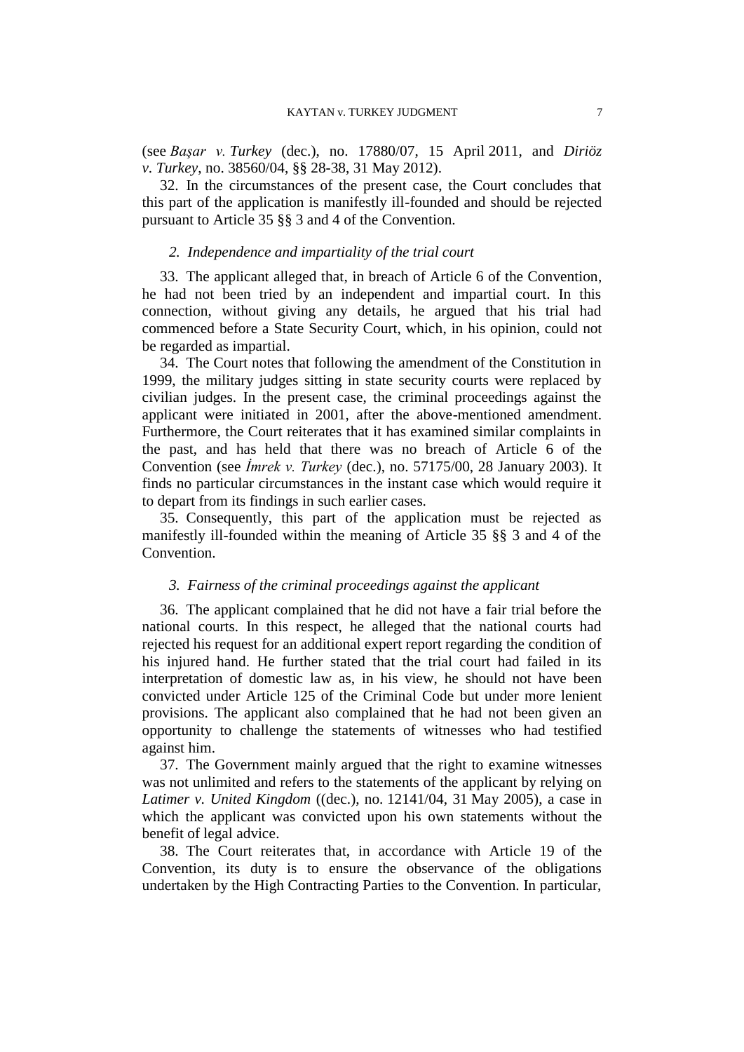(see *Başar v. Turkey* (dec.), no. 17880/07, 15 April 2011, and *Diriöz v. Turkey*, no. 38560/04, §§ 28-38, 31 May 2012).

32. In the circumstances of the present case, the Court concludes that this part of the application is manifestly ill-founded and should be rejected pursuant to Article 35 §§ 3 and 4 of the Convention.

### *2. Independence and impartiality of the trial court*

33. The applicant alleged that, in breach of Article 6 of the Convention, he had not been tried by an independent and impartial court. In this connection, without giving any details, he argued that his trial had commenced before a State Security Court, which, in his opinion, could not be regarded as impartial.

34. The Court notes that following the amendment of the Constitution in 1999, the military judges sitting in state security courts were replaced by civilian judges. In the present case, the criminal proceedings against the applicant were initiated in 2001, after the above-mentioned amendment. Furthermore, the Court reiterates that it has examined similar complaints in the past, and has held that there was no breach of Article 6 of the Convention (see *İmrek v. Turkey* (dec.), no. 57175/00, 28 January 2003). It finds no particular circumstances in the instant case which would require it to depart from its findings in such earlier cases.

35. Consequently, this part of the application must be rejected as manifestly ill-founded within the meaning of Article 35 §§ 3 and 4 of the Convention.

### *3. Fairness of the criminal proceedings against the applicant*

36. The applicant complained that he did not have a fair trial before the national courts. In this respect, he alleged that the national courts had rejected his request for an additional expert report regarding the condition of his injured hand. He further stated that the trial court had failed in its interpretation of domestic law as, in his view, he should not have been convicted under Article 125 of the Criminal Code but under more lenient provisions. The applicant also complained that he had not been given an opportunity to challenge the statements of witnesses who had testified against him.

37. The Government mainly argued that the right to examine witnesses was not unlimited and refers to the statements of the applicant by relying on *Latimer v. United Kingdom* ((dec.), no. 12141/04, 31 May 2005), a case in which the applicant was convicted upon his own statements without the benefit of legal advice.

38. The Court reiterates that, in accordance with Article 19 of the Convention, its duty is to ensure the observance of the obligations undertaken by the High Contracting Parties to the Convention. In particular,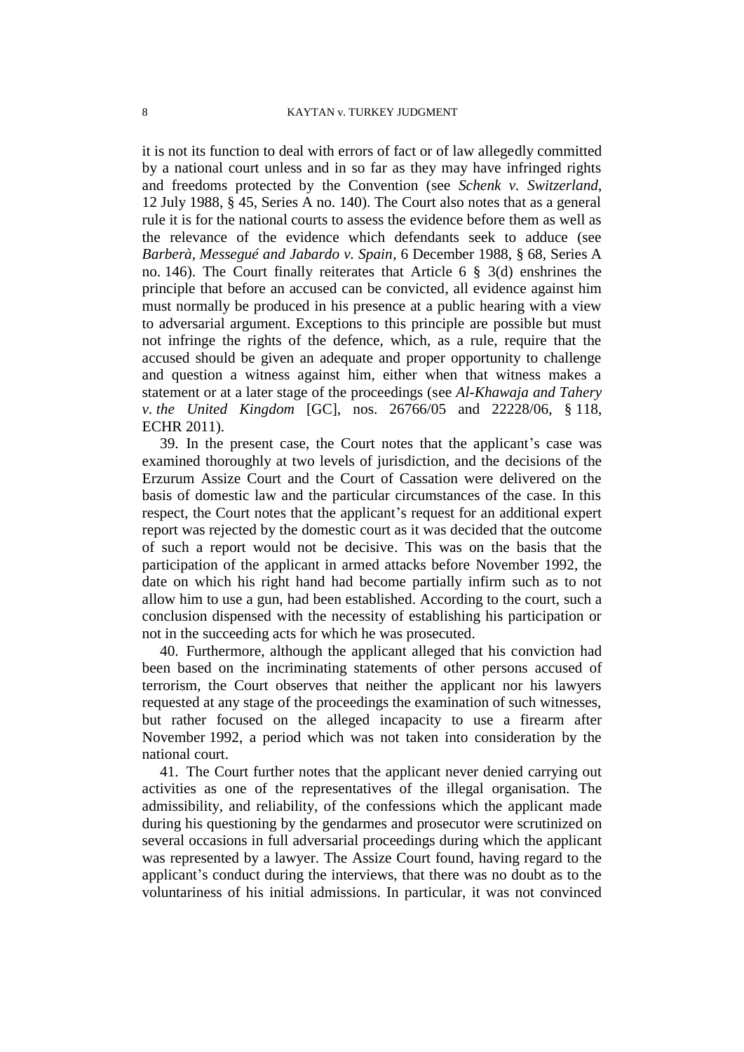it is not its function to deal with errors of fact or of law allegedly committed by a national court unless and in so far as they may have infringed rights and freedoms protected by the Convention (see *Schenk v. Switzerland*, 12 July 1988, § 45, Series A no. 140). The Court also notes that as a general rule it is for the national courts to assess the evidence before them as well as the relevance of the evidence which defendants seek to adduce (see *Barberà, Messegué and Jabardo v. Spain*, 6 December 1988, § 68, Series A no. 146). The Court finally reiterates that Article 6 § 3(d) enshrines the principle that before an accused can be convicted, all evidence against him must normally be produced in his presence at a public hearing with a view to adversarial argument. Exceptions to this principle are possible but must not infringe the rights of the defence, which, as a rule, require that the accused should be given an adequate and proper opportunity to challenge and question a witness against him, either when that witness makes a statement or at a later stage of the proceedings (see *Al-Khawaja and Tahery v. the United Kingdom* [GC], nos. 26766/05 and 22228/06, § 118, ECHR 2011).

39. In the present case, the Court notes that the applicant's case was examined thoroughly at two levels of jurisdiction, and the decisions of the Erzurum Assize Court and the Court of Cassation were delivered on the basis of domestic law and the particular circumstances of the case. In this respect, the Court notes that the applicant's request for an additional expert report was rejected by the domestic court as it was decided that the outcome of such a report would not be decisive. This was on the basis that the participation of the applicant in armed attacks before November 1992, the date on which his right hand had become partially infirm such as to not allow him to use a gun, had been established. According to the court, such a conclusion dispensed with the necessity of establishing his participation or not in the succeeding acts for which he was prosecuted.

40. Furthermore, although the applicant alleged that his conviction had been based on the incriminating statements of other persons accused of terrorism, the Court observes that neither the applicant nor his lawyers requested at any stage of the proceedings the examination of such witnesses, but rather focused on the alleged incapacity to use a firearm after November 1992, a period which was not taken into consideration by the national court.

41. The Court further notes that the applicant never denied carrying out activities as one of the representatives of the illegal organisation. The admissibility, and reliability, of the confessions which the applicant made during his questioning by the gendarmes and prosecutor were scrutinized on several occasions in full adversarial proceedings during which the applicant was represented by a lawyer. The Assize Court found, having regard to the applicant's conduct during the interviews, that there was no doubt as to the voluntariness of his initial admissions. In particular, it was not convinced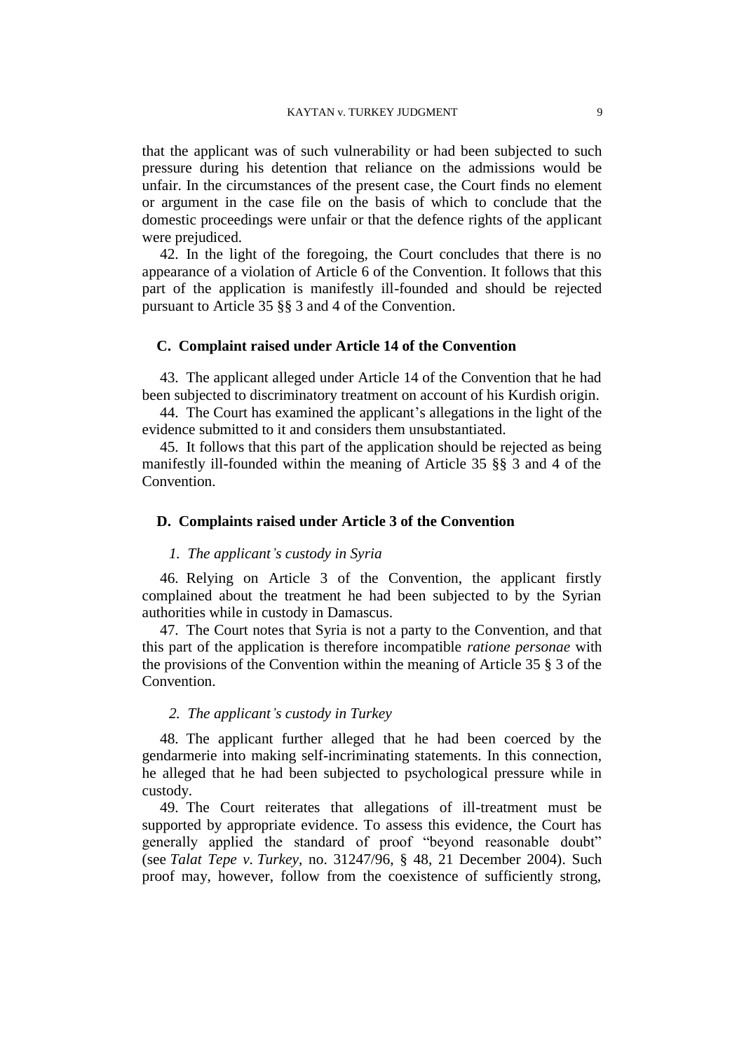#### KAYTAN v. TURKEY JUDGMENT 9

that the applicant was of such vulnerability or had been subjected to such pressure during his detention that reliance on the admissions would be unfair. In the circumstances of the present case, the Court finds no element or argument in the case file on the basis of which to conclude that the domestic proceedings were unfair or that the defence rights of the applicant were prejudiced.

42. In the light of the foregoing, the Court concludes that there is no appearance of a violation of Article 6 of the Convention. It follows that this part of the application is manifestly ill-founded and should be rejected pursuant to Article 35 §§ 3 and 4 of the Convention.

#### **C. Complaint raised under Article 14 of the Convention**

43. The applicant alleged under Article 14 of the Convention that he had been subjected to discriminatory treatment on account of his Kurdish origin.

44. The Court has examined the applicant's allegations in the light of the evidence submitted to it and considers them unsubstantiated.

45. It follows that this part of the application should be rejected as being manifestly ill-founded within the meaning of Article 35 §§ 3 and 4 of the Convention.

#### **D. Complaints raised under Article 3 of the Convention**

#### *1. The applicant's custody in Syria*

46. Relying on Article 3 of the Convention, the applicant firstly complained about the treatment he had been subjected to by the Syrian authorities while in custody in Damascus.

47. The Court notes that Syria is not a party to the Convention, and that this part of the application is therefore incompatible *ratione personae* with the provisions of the Convention within the meaning of Article 35 § 3 of the Convention.

#### *2. The applicant's custody in Turkey*

48. The applicant further alleged that he had been coerced by the gendarmerie into making self-incriminating statements. In this connection, he alleged that he had been subjected to psychological pressure while in custody.

49. The Court reiterates that allegations of ill-treatment must be supported by appropriate evidence. To assess this evidence, the Court has generally applied the standard of proof "beyond reasonable doubt" (see *Talat Tepe v. Turkey*, no. 31247/96, § 48, 21 December 2004). Such proof may, however, follow from the coexistence of sufficiently strong,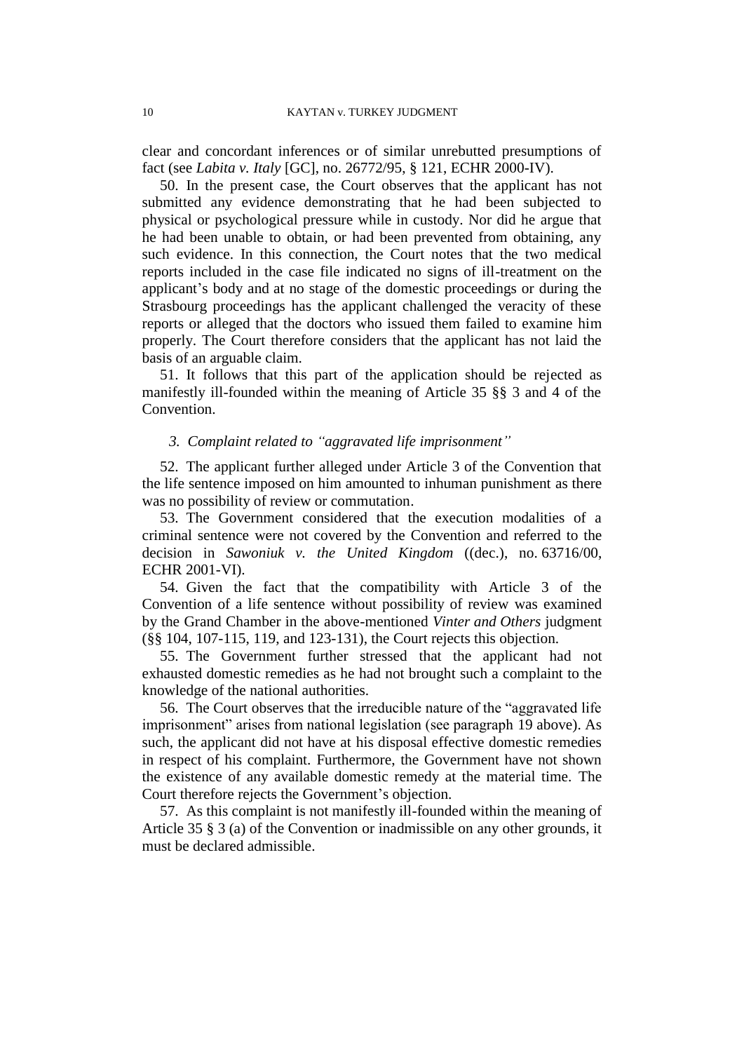clear and concordant inferences or of similar unrebutted presumptions of fact (see *Labita v. Italy* [GC], no. 26772/95, § 121, ECHR 2000-IV).

50. In the present case, the Court observes that the applicant has not submitted any evidence demonstrating that he had been subjected to physical or psychological pressure while in custody. Nor did he argue that he had been unable to obtain, or had been prevented from obtaining, any such evidence. In this connection, the Court notes that the two medical reports included in the case file indicated no signs of ill-treatment on the applicant's body and at no stage of the domestic proceedings or during the Strasbourg proceedings has the applicant challenged the veracity of these reports or alleged that the doctors who issued them failed to examine him properly. The Court therefore considers that the applicant has not laid the basis of an arguable claim.

51. It follows that this part of the application should be rejected as manifestly ill-founded within the meaning of Article 35 §§ 3 and 4 of the Convention.

### *3. Complaint related to "aggravated life imprisonment"*

52. The applicant further alleged under Article 3 of the Convention that the life sentence imposed on him amounted to inhuman punishment as there was no possibility of review or commutation.

53. The Government considered that the execution modalities of a criminal sentence were not covered by the Convention and referred to the decision in *Sawoniuk v. the United Kingdom* ((dec.), no. 63716/00, ECHR 2001-VI).

54. Given the fact that the compatibility with Article 3 of the Convention of a life sentence without possibility of review was examined by the Grand Chamber in the above-mentioned *Vinter and Others* judgment (§§ 104, 107-115, 119, and 123-131), the Court rejects this objection.

55. The Government further stressed that the applicant had not exhausted domestic remedies as he had not brought such a complaint to the knowledge of the national authorities.

56. The Court observes that the irreducible nature of the "aggravated life imprisonment" arises from national legislation (see paragraph [19](#page-6-0) above). As such, the applicant did not have at his disposal effective domestic remedies in respect of his complaint. Furthermore, the Government have not shown the existence of any available domestic remedy at the material time. The Court therefore rejects the Government's objection.

57. As this complaint is not manifestly ill-founded within the meaning of Article 35 § 3 (a) of the Convention or inadmissible on any other grounds, it must be declared admissible.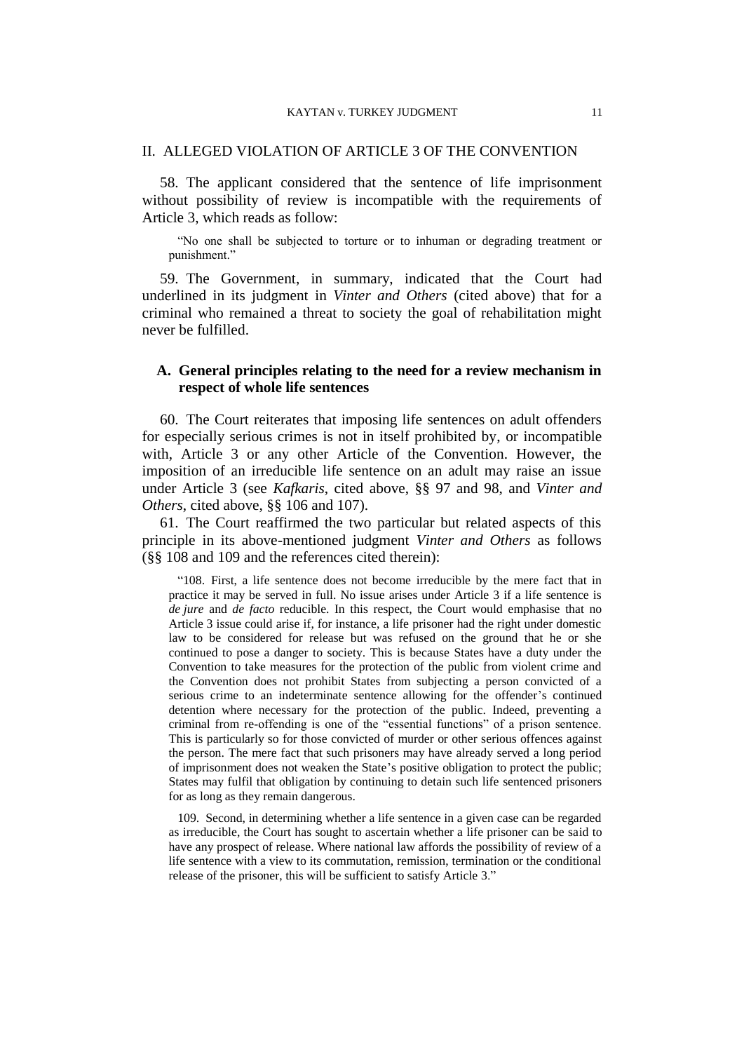#### KAYTAN v. TURKEY JUDGMENT 11

### II. ALLEGED VIOLATION OF ARTICLE 3 OF THE CONVENTION

58. The applicant considered that the sentence of life imprisonment without possibility of review is incompatible with the requirements of Article 3, which reads as follow:

"No one shall be subjected to torture or to inhuman or degrading treatment or punishment."

59. The Government, in summary, indicated that the Court had underlined in its judgment in *Vinter and Others* (cited above) that for a criminal who remained a threat to society the goal of rehabilitation might never be fulfilled.

### **A. General principles relating to the need for a review mechanism in respect of whole life sentences**

60. The Court reiterates that imposing life sentences on adult offenders for especially serious crimes is not in itself prohibited by, or incompatible with, Article 3 or any other Article of the Convention. However, the imposition of an irreducible life sentence on an adult may raise an issue under Article 3 (see *Kafkaris*, cited above, §§ 97 and 98, and *Vinter and Others*, cited above, §§ 106 and 107).

61. The Court reaffirmed the two particular but related aspects of this principle in its above-mentioned judgment *Vinter and Others* as follows (§§ 108 and 109 and the references cited therein):

"108. First, a life sentence does not become irreducible by the mere fact that in practice it may be served in full. No issue arises under Article 3 if a life sentence is *de jure* and *de facto* reducible. In this respect, the Court would emphasise that no Article 3 issue could arise if, for instance, a life prisoner had the right under domestic law to be considered for release but was refused on the ground that he or she continued to pose a danger to society. This is because States have a duty under the Convention to take measures for the protection of the public from violent crime and the Convention does not prohibit States from subjecting a person convicted of a serious crime to an indeterminate sentence allowing for the offender's continued detention where necessary for the protection of the public. Indeed, preventing a criminal from re-offending is one of the "essential functions" of a prison sentence. This is particularly so for those convicted of murder or other serious offences against the person. The mere fact that such prisoners may have already served a long period of imprisonment does not weaken the State's positive obligation to protect the public; States may fulfil that obligation by continuing to detain such life sentenced prisoners for as long as they remain dangerous.

109. Second, in determining whether a life sentence in a given case can be regarded as irreducible, the Court has sought to ascertain whether a life prisoner can be said to have any prospect of release. Where national law affords the possibility of review of a life sentence with a view to its commutation, remission, termination or the conditional release of the prisoner, this will be sufficient to satisfy Article 3."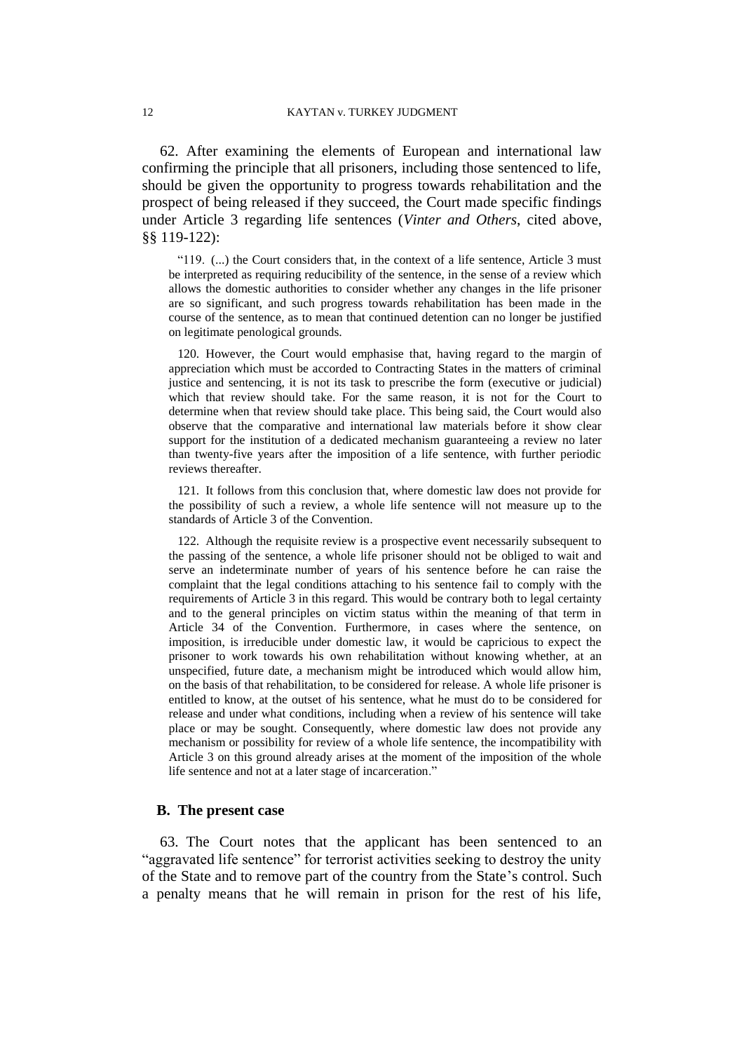62. After examining the elements of European and international law confirming the principle that all prisoners, including those sentenced to life, should be given the opportunity to progress towards rehabilitation and the prospect of being released if they succeed, the Court made specific findings under Article 3 regarding life sentences (*Vinter and Others*, cited above, §§ 119-122):

"119. (...) the Court considers that, in the context of a life sentence, Article 3 must be interpreted as requiring reducibility of the sentence, in the sense of a review which allows the domestic authorities to consider whether any changes in the life prisoner are so significant, and such progress towards rehabilitation has been made in the course of the sentence, as to mean that continued detention can no longer be justified on legitimate penological grounds.

120. However, the Court would emphasise that, having regard to the margin of appreciation which must be accorded to Contracting States in the matters of criminal justice and sentencing, it is not its task to prescribe the form (executive or judicial) which that review should take. For the same reason, it is not for the Court to determine when that review should take place. This being said, the Court would also observe that the comparative and international law materials before it show clear support for the institution of a dedicated mechanism guaranteeing a review no later than twenty-five years after the imposition of a life sentence, with further periodic reviews thereafter.

121. It follows from this conclusion that, where domestic law does not provide for the possibility of such a review, a whole life sentence will not measure up to the standards of Article 3 of the Convention.

122. Although the requisite review is a prospective event necessarily subsequent to the passing of the sentence, a whole life prisoner should not be obliged to wait and serve an indeterminate number of years of his sentence before he can raise the complaint that the legal conditions attaching to his sentence fail to comply with the requirements of Article 3 in this regard. This would be contrary both to legal certainty and to the general principles on victim status within the meaning of that term in Article 34 of the Convention. Furthermore, in cases where the sentence, on imposition, is irreducible under domestic law, it would be capricious to expect the prisoner to work towards his own rehabilitation without knowing whether, at an unspecified, future date, a mechanism might be introduced which would allow him, on the basis of that rehabilitation, to be considered for release. A whole life prisoner is entitled to know, at the outset of his sentence, what he must do to be considered for release and under what conditions, including when a review of his sentence will take place or may be sought. Consequently, where domestic law does not provide any mechanism or possibility for review of a whole life sentence, the incompatibility with Article 3 on this ground already arises at the moment of the imposition of the whole life sentence and not at a later stage of incarceration."

#### **B. The present case**

63. The Court notes that the applicant has been sentenced to an "aggravated life sentence" for terrorist activities seeking to destroy the unity of the State and to remove part of the country from the State's control. Such a penalty means that he will remain in prison for the rest of his life,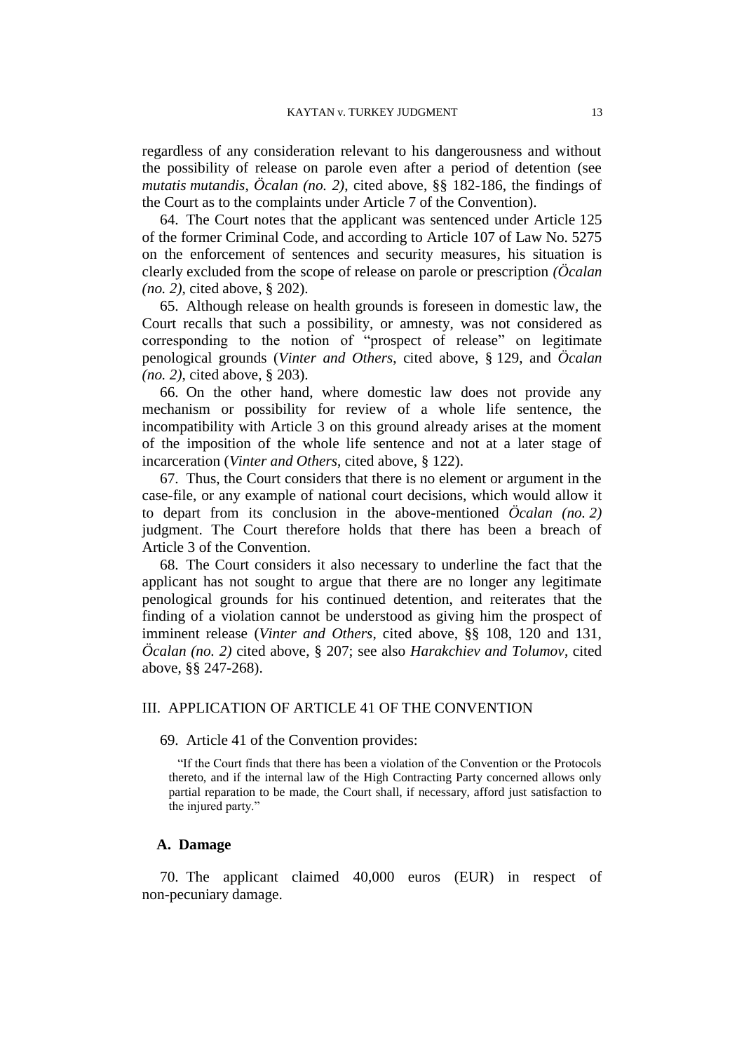regardless of any consideration relevant to his dangerousness and without the possibility of release on parole even after a period of detention (see *mutatis mutandis*, *Öcalan (no. 2)*, cited above, §§ 182-186, the findings of the Court as to the complaints under Article 7 of the Convention).

64. The Court notes that the applicant was sentenced under Article 125 of the former Criminal Code, and according to Article 107 of Law No. 5275 on the enforcement of sentences and security measures, his situation is clearly excluded from the scope of release on parole or prescription *(Öcalan (no. 2)*, cited above, § 202).

65. Although release on health grounds is foreseen in domestic law, the Court recalls that such a possibility, or amnesty, was not considered as corresponding to the notion of "prospect of release" on legitimate penological grounds (*Vinter and Others*, cited above, § 129, and *Öcalan (no. 2)*, cited above, § 203).

66. On the other hand, where domestic law does not provide any mechanism or possibility for review of a whole life sentence, the incompatibility with Article 3 on this ground already arises at the moment of the imposition of the whole life sentence and not at a later stage of incarceration (*Vinter and Others*, cited above, § 122).

67. Thus, the Court considers that there is no element or argument in the case-file, or any example of national court decisions, which would allow it to depart from its conclusion in the above-mentioned *Öcalan (no. 2)* judgment. The Court therefore holds that there has been a breach of Article 3 of the Convention.

68. The Court considers it also necessary to underline the fact that the applicant has not sought to argue that there are no longer any legitimate penological grounds for his continued detention, and reiterates that the finding of a violation cannot be understood as giving him the prospect of imminent release (*Vinter and Others*, cited above, §§ 108, 120 and 131, *Öcalan (no. 2)* cited above, § 207; see also *Harakchiev and Tolumov*, cited above, §§ 247-268).

# III. APPLICATION OF ARTICLE 41 OF THE CONVENTION

#### 69. Article 41 of the Convention provides:

"If the Court finds that there has been a violation of the Convention or the Protocols thereto, and if the internal law of the High Contracting Party concerned allows only partial reparation to be made, the Court shall, if necessary, afford just satisfaction to the injured party."

#### **A. Damage**

70. The applicant claimed 40,000 euros (EUR) in respect of non-pecuniary damage.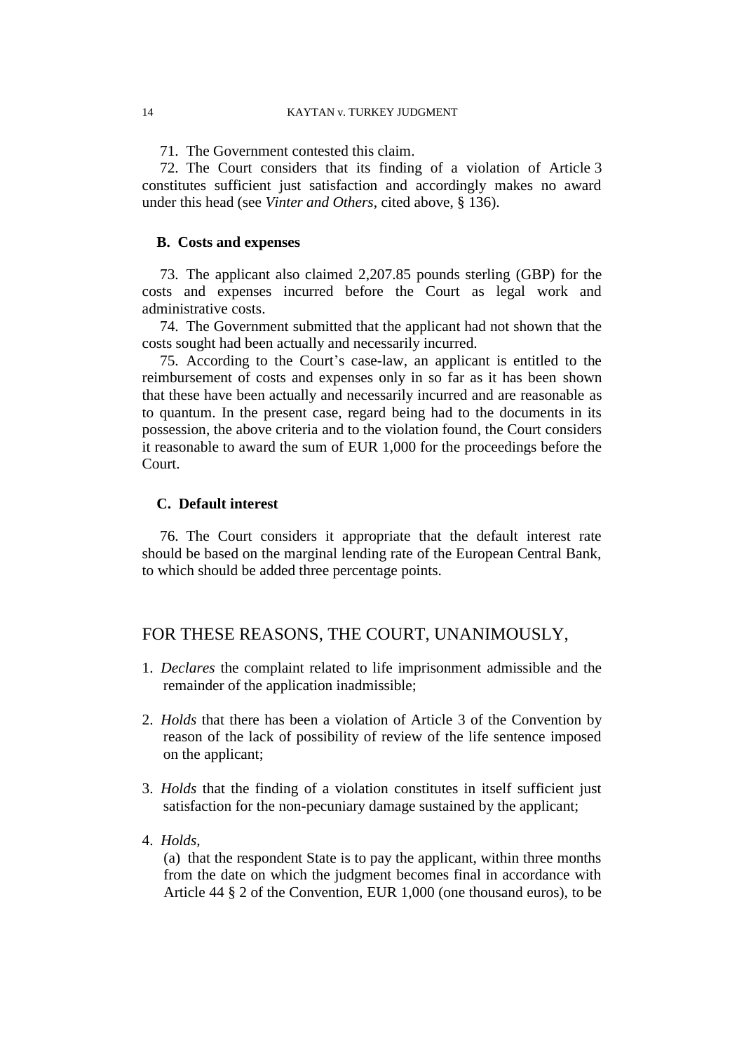71. The Government contested this claim.

72. The Court considers that its finding of a violation of Article 3 constitutes sufficient just satisfaction and accordingly makes no award under this head (see *Vinter and Others*, cited above, § 136).

### **B. Costs and expenses**

73. The applicant also claimed 2,207.85 pounds sterling (GBP) for the costs and expenses incurred before the Court as legal work and administrative costs.

74. The Government submitted that the applicant had not shown that the costs sought had been actually and necessarily incurred.

75. According to the Court's case-law, an applicant is entitled to the reimbursement of costs and expenses only in so far as it has been shown that these have been actually and necessarily incurred and are reasonable as to quantum. In the present case, regard being had to the documents in its possession, the above criteria and to the violation found, the Court considers it reasonable to award the sum of EUR 1,000 for the proceedings before the Court.

# **C. Default interest**

76. The Court considers it appropriate that the default interest rate should be based on the marginal lending rate of the European Central Bank, to which should be added three percentage points.

# FOR THESE REASONS, THE COURT, UNANIMOUSLY,

- 1. *Declares* the complaint related to life imprisonment admissible and the remainder of the application inadmissible;
- 2. *Holds* that there has been a violation of Article 3 of the Convention by reason of the lack of possibility of review of the life sentence imposed on the applicant;
- 3. *Holds* that the finding of a violation constitutes in itself sufficient just satisfaction for the non-pecuniary damage sustained by the applicant;
- 4. *Holds,*

(a) that the respondent State is to pay the applicant, within three months from the date on which the judgment becomes final in accordance with Article 44 § 2 of the Convention, EUR 1,000 (one thousand euros), to be